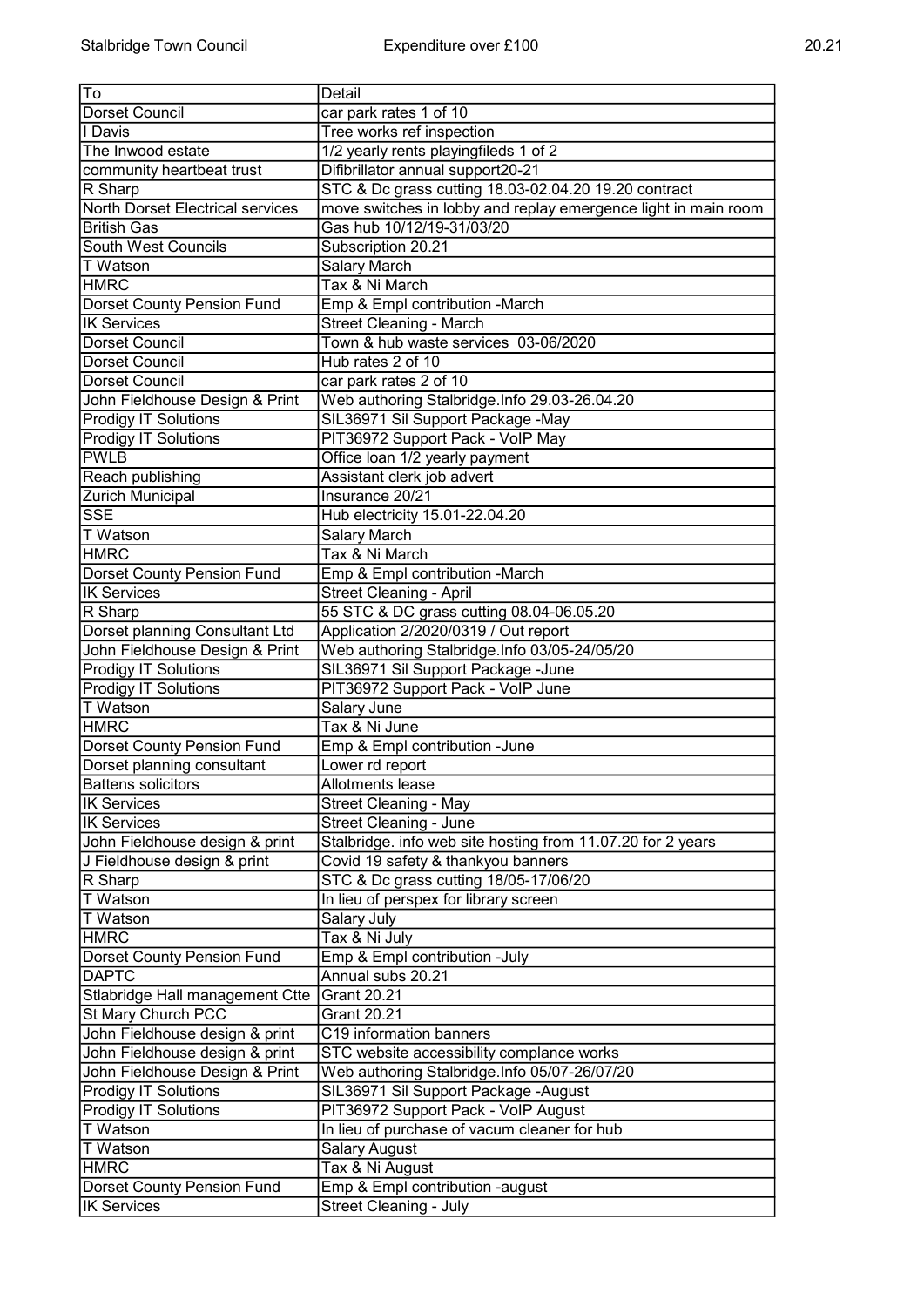| ŀ٥                                         | Detail                                                         |
|--------------------------------------------|----------------------------------------------------------------|
| Dorset Council                             | car park rates 1 of 10                                         |
| <b>I</b> I Davis                           | Tree works ref inspection                                      |
| The Inwood estate                          | 1/2 yearly rents playingfileds 1 of 2                          |
| community heartbeat trust                  | Difibrillator annual support20-21                              |
| R Sharp                                    | STC & Dc grass cutting 18.03-02.04.20 19.20 contract           |
| North Dorset Electrical services           | move switches in lobby and replay emergence light in main room |
| <b>British Gas</b>                         | Gas hub 10/12/19-31/03/20                                      |
| South West Councils                        | Subscription 20.21                                             |
| T Watson                                   | Salary March                                                   |
| <b>HMRC</b>                                | Tax & Ni March                                                 |
| Dorset County Pension Fund                 | Emp & Empl contribution - March                                |
| <b>IK Services</b>                         | <b>Street Cleaning - March</b>                                 |
| Dorset Council                             | Town & hub waste services 03-06/2020                           |
| Dorset Council                             | Hub rates 2 of 10                                              |
| Dorset Council                             | car park rates 2 of 10                                         |
| John Fieldhouse Design & Print             | Web authoring Stalbridge.Info 29.03-26.04.20                   |
|                                            |                                                                |
| <b>Prodigy IT Solutions</b>                | SIL36971 Sil Support Package -May                              |
| <b>Prodigy IT Solutions</b><br><b>PWLB</b> | PIT36972 Support Pack - VoIP May                               |
|                                            | Office loan 1/2 yearly payment                                 |
| Reach publishing                           | Assistant clerk job advert                                     |
| Zurich Municipal                           | Insurance 20/21                                                |
| <b>SSE</b>                                 | Hub electricity 15.01-22.04.20                                 |
| <b>T</b> Watson                            | Salary March                                                   |
| <b>HMRC</b>                                | Tax & Ni March                                                 |
| Dorset County Pension Fund                 | Emp & Empl contribution -March                                 |
| <b>IK Services</b>                         | <b>Street Cleaning - April</b>                                 |
| R Sharp                                    | 55 STC & DC grass cutting 08.04-06.05.20                       |
| Dorset planning Consultant Ltd             | Application 2/2020/0319 / Out report                           |
| John Fieldhouse Design & Print             | Web authoring Stalbridge.Info 03/05-24/05/20                   |
| <b>Prodigy IT Solutions</b>                | SIL36971 Sil Support Package -June                             |
| <b>Prodigy IT Solutions</b>                | PIT36972 Support Pack - VoIP June                              |
| T Watson                                   | Salary June                                                    |
| <b>HMRC</b>                                | Tax & Ni June                                                  |
| Dorset County Pension Fund                 | Emp & Empl contribution -June                                  |
| Dorset planning consultant                 | Lower rd report                                                |
| Battens solicitors                         | Allotments lease                                               |
| <b>IK Services</b>                         | Street Cleaning - May                                          |
| <b>IK Services</b>                         | Street Cleaning - June                                         |
| John Fieldhouse design & print             | Stalbridge. info web site hosting from 11.07.20 for 2 years    |
| J Fieldhouse design & print                | Covid 19 safety & thankyou banners                             |
| R Sharp                                    | STC & Dc grass cutting 18/05-17/06/20                          |
| T Watson                                   | In lieu of perspex for library screen                          |
| <b>T</b> Watson                            | Salary July                                                    |
| <b>HMRC</b>                                | Tax & Ni July                                                  |
| Dorset County Pension Fund                 | Emp & Empl contribution -July                                  |
| <b>DAPTC</b>                               | Annual subs 20.21                                              |
| Stlabridge Hall management Ctte            | <b>Grant 20.21</b>                                             |
| St Mary Church PCC                         | <b>Grant 20.21</b>                                             |
| John Fieldhouse design & print             | C19 information banners                                        |
| John Fieldhouse design & print             | STC website accessibility complance works                      |
| John Fieldhouse Design & Print             | Web authoring Stalbridge.Info 05/07-26/07/20                   |
| <b>Prodigy IT Solutions</b>                | SIL36971 Sil Support Package - August                          |
| <b>Prodigy IT Solutions</b>                | PIT36972 Support Pack - VoIP August                            |
| <b>T</b> Watson                            | In lieu of purchase of vacum cleaner for hub                   |
| T Watson                                   | <b>Salary August</b>                                           |
| <b>HMRC</b>                                | Tax & Ni August                                                |
| Dorset County Pension Fund                 | Emp & Empl contribution -august                                |
| <b>IK Services</b>                         | Street Cleaning - July                                         |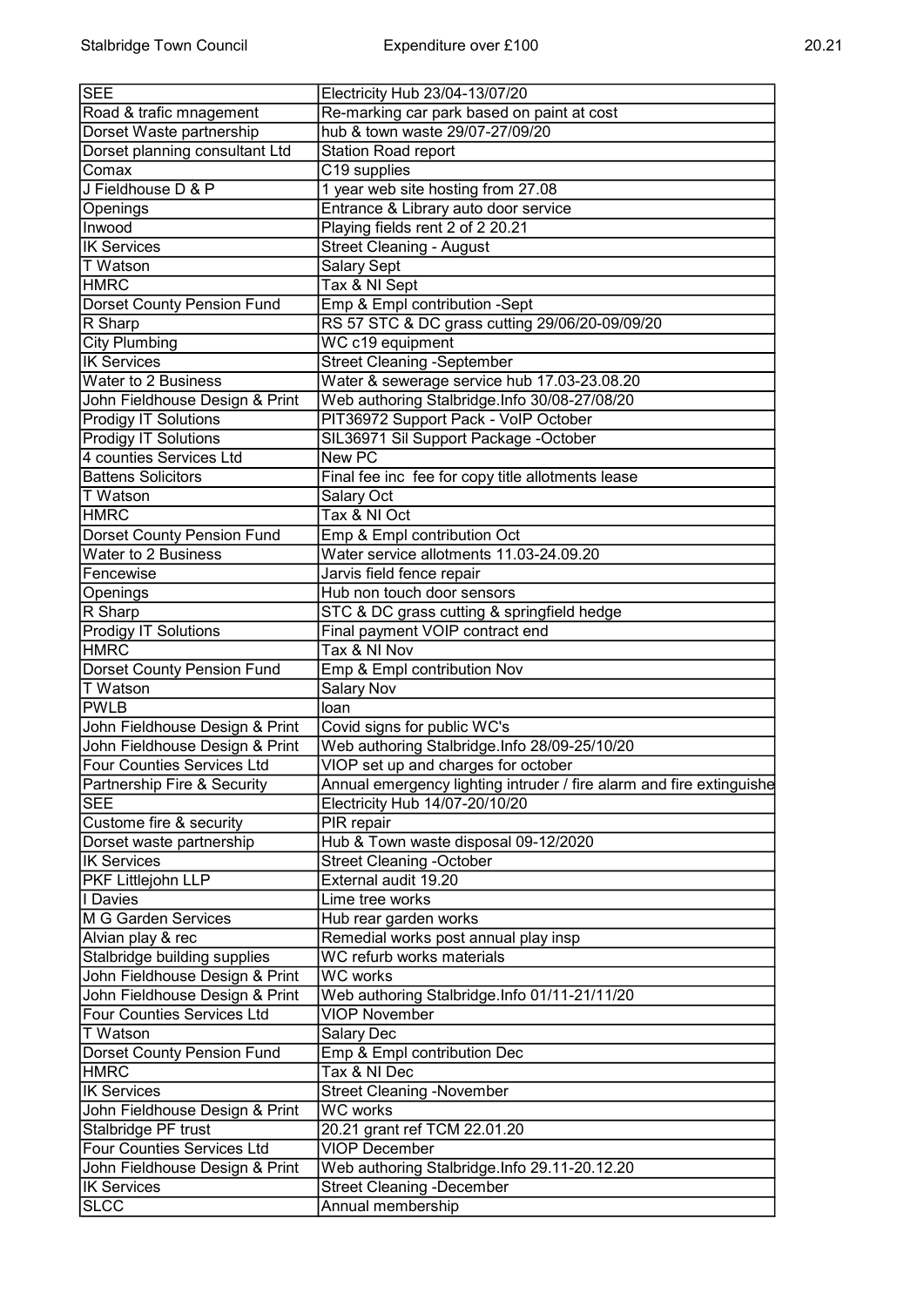| ٠<br>I |  |
|--------|--|
|--------|--|

| <b>SEE</b>                        | Electricity Hub 23/04-13/07/20                                       |
|-----------------------------------|----------------------------------------------------------------------|
| Road & trafic mnagement           | Re-marking car park based on paint at cost                           |
| Dorset Waste partnership          | hub & town waste 29/07-27/09/20                                      |
| Dorset planning consultant Ltd    | Station Road report                                                  |
| Comax                             | C19 supplies                                                         |
| J Fieldhouse D & P                | 1 year web site hosting from 27.08                                   |
| Openings                          | Entrance & Library auto door service                                 |
| Inwood                            | Playing fields rent 2 of 2 20.21                                     |
| <b>IK Services</b>                |                                                                      |
|                                   | <b>Street Cleaning - August</b>                                      |
| T Watson                          | Salary Sept                                                          |
| <b>HMRC</b>                       | Tax & NI Sept                                                        |
| Dorset County Pension Fund        | Emp & Empl contribution -Sept                                        |
| R Sharp                           | RS 57 STC & DC grass cutting 29/06/20-09/09/20                       |
| <b>City Plumbing</b>              | WC c19 equipment                                                     |
| <b>IK Services</b>                | <b>Street Cleaning -September</b>                                    |
| Water to 2 Business               | Water & sewerage service hub 17.03-23.08.20                          |
| John Fieldhouse Design & Print    | Web authoring Stalbridge.Info 30/08-27/08/20                         |
| <b>Prodigy IT Solutions</b>       | PIT36972 Support Pack - VoIP October                                 |
| <b>Prodigy IT Solutions</b>       | SIL36971 Sil Support Package -October                                |
| 4 counties Services Ltd           | New PC                                                               |
| <b>Battens Solicitors</b>         | Final fee inc fee for copy title allotments lease                    |
| T Watson                          | Salary Oct                                                           |
| <b>HMRC</b>                       | Tax & NI Oct                                                         |
| Dorset County Pension Fund        | Emp & Empl contribution Oct                                          |
|                                   |                                                                      |
| <b>Water to 2 Business</b>        | Water service allotments 11.03-24.09.20                              |
| Fencewise                         | Jarvis field fence repair                                            |
| Openings                          | Hub non touch door sensors                                           |
| R Sharp                           | STC & DC grass cutting & springfield hedge                           |
| <b>Prodigy IT Solutions</b>       | Final payment VOIP contract end                                      |
| <b>HMRC</b>                       | Tax & NI Nov                                                         |
| Dorset County Pension Fund        | Emp & Empl contribution Nov                                          |
| T Watson                          | <b>Salary Nov</b>                                                    |
| <b>PWLB</b>                       | loan                                                                 |
| John Fieldhouse Design & Print    | Covid signs for public WC's                                          |
| John Fieldhouse Design & Print    | Web authoring Stalbridge.Info 28/09-25/10/20                         |
| <b>Four Counties Services Ltd</b> | VIOP set up and charges for october                                  |
| Partnership Fire & Security       | Annual emergency lighting intruder / fire alarm and fire extinguishe |
| <b>SEE</b>                        | Electricity Hub 14/07-20/10/20                                       |
| Custome fire & security           | PIR repair                                                           |
|                                   |                                                                      |
| Dorset waste partnership          | Hub & Town waste disposal 09-12/2020                                 |
| <b>IK Services</b>                | <b>Street Cleaning -October</b>                                      |
| <b>PKF Littlejohn LLP</b>         | External audit 19.20                                                 |
| I Davies                          | Lime tree works                                                      |
| M G Garden Services               | Hub rear garden works                                                |
| Alvian play & rec                 | Remedial works post annual play insp                                 |
| Stalbridge building supplies      | WC refurb works materials                                            |
| John Fieldhouse Design & Print    | <b>WC</b> works                                                      |
| John Fieldhouse Design & Print    | Web authoring Stalbridge.Info 01/11-21/11/20                         |
| <b>Four Counties Services Ltd</b> | <b>VIOP November</b>                                                 |
| <b>T</b> Watson                   | Salary Dec                                                           |
| Dorset County Pension Fund        | Emp & Empl contribution Dec                                          |
| HMRC                              | Tax & NI Dec                                                         |
| <b>IK Services</b>                | <b>Street Cleaning -November</b>                                     |
| John Fieldhouse Design & Print    | <b>WC</b> works                                                      |
|                                   |                                                                      |
| Stalbridge PF trust               | 20.21 grant ref TCM 22.01.20                                         |
| <b>Four Counties Services Ltd</b> | <b>VIOP December</b>                                                 |
| John Fieldhouse Design & Print    | Web authoring Stalbridge.Info 29.11-20.12.20                         |
| <b>IK Services</b>                | <b>Street Cleaning -December</b>                                     |
| SLCC                              | Annual membership                                                    |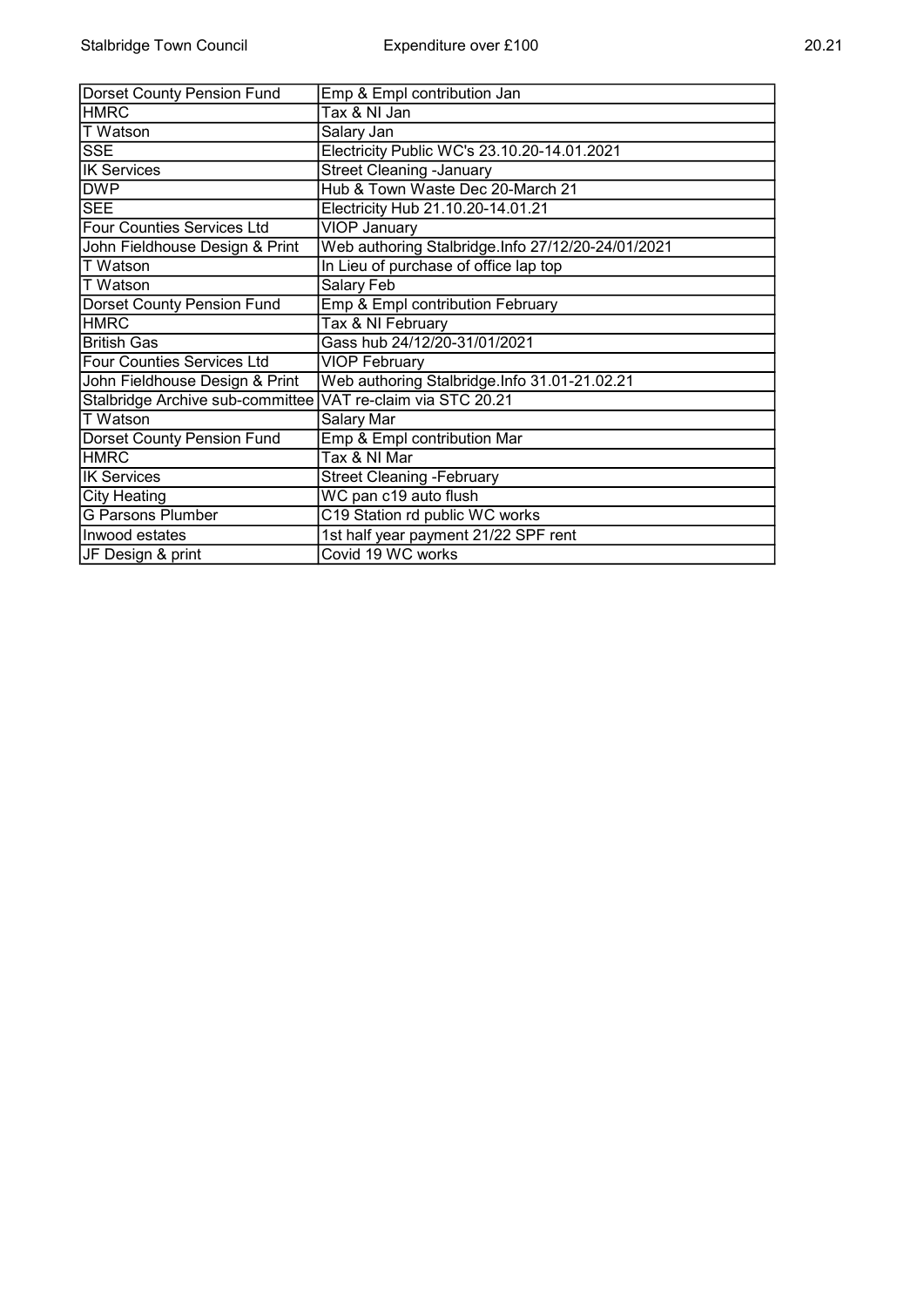| Dorset County Pension Fund                                  | Emp & Empl contribution Jan                       |
|-------------------------------------------------------------|---------------------------------------------------|
| <b>HMRC</b>                                                 | Tax & NI Jan                                      |
| <b>T</b> Watson                                             | Salary Jan                                        |
| <b>SSE</b>                                                  | Electricity Public WC's 23.10.20-14.01.2021       |
| <b>IK Services</b>                                          | <b>Street Cleaning -January</b>                   |
| <b>DWP</b>                                                  | Hub & Town Waste Dec 20-March 21                  |
| <b>SEE</b>                                                  | Electricity Hub 21.10.20-14.01.21                 |
| Four Counties Services Ltd                                  | <b>VIOP January</b>                               |
| John Fieldhouse Design & Print                              | Web authoring Stalbridge.Info 27/12/20-24/01/2021 |
| <b>T</b> Watson                                             | In Lieu of purchase of office lap top             |
| ∣T Watson                                                   | Salary Feb                                        |
| Dorset County Pension Fund                                  | Emp & Empl contribution February                  |
| <b>HMRC</b>                                                 | Tax & NI February                                 |
| <b>British Gas</b>                                          | Gass hub 24/12/20-31/01/2021                      |
| <b>Four Counties Services Ltd</b>                           | <b>VIOP February</b>                              |
| John Fieldhouse Design & Print                              | Web authoring Stalbridge.Info 31.01-21.02.21      |
| Stalbridge Archive sub-committee VAT re-claim via STC 20.21 |                                                   |
| T Watson                                                    | Salary Mar                                        |
| Dorset County Pension Fund                                  | Emp & Empl contribution Mar                       |
| <b>HMRC</b>                                                 | Tax & NI Mar                                      |
| <b>IK Services</b>                                          | <b>Street Cleaning -February</b>                  |
| <b>City Heating</b>                                         | WC pan c19 auto flush                             |
| <b>G Parsons Plumber</b>                                    | C19 Station rd public WC works                    |
| Inwood estates                                              | 1st half year payment 21/22 SPF rent              |
| JF Design & print                                           | Covid 19 WC works                                 |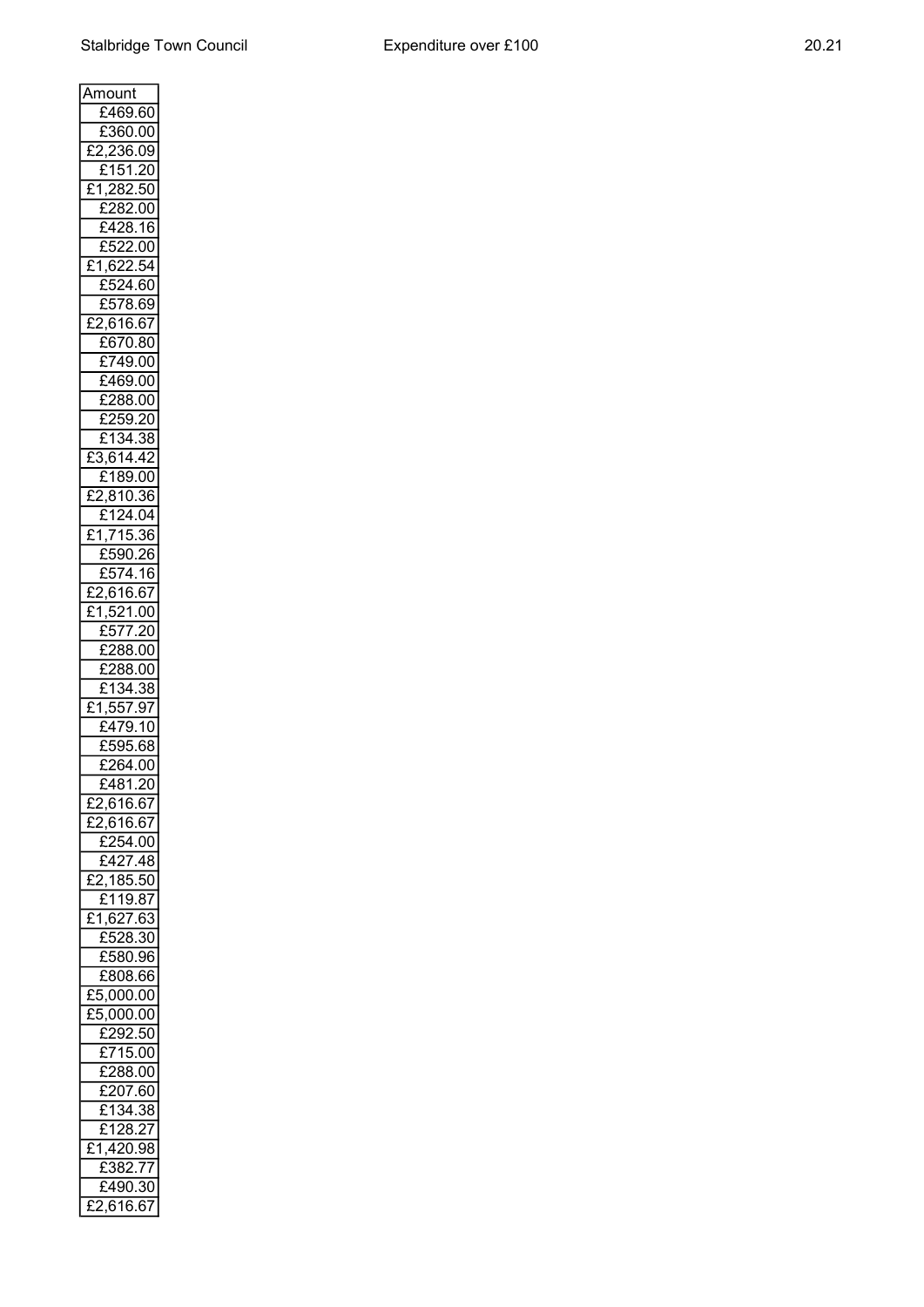$\overline{\phantom{0}}$ 

| Amount                                 |
|----------------------------------------|
| £469.60                                |
| £360.00                                |
|                                        |
| 236.09<br>,<br>£                       |
| £<br>151<br>20                         |
| 282.50<br>£<br>1                       |
| ſ<br>282.00                            |
|                                        |
| <u>428.16</u><br>£                     |
| 522.00<br>£                            |
| 622.54<br>£<br>1,                      |
|                                        |
| 524.60<br>ſ                            |
| :578.69<br>£                           |
| )<br>£<br>616.67                       |
| £<br>:670.80                           |
|                                        |
| 749.00<br>£                            |
| £<br>469.00                            |
| £288.00                                |
|                                        |
| 259.20<br>£                            |
| £134.38                                |
| 614.42<br>ξ<br>ł                       |
| 189.00<br>£                            |
|                                        |
| 810<br>.36<br>,<br>£                   |
| 124.04<br>£                            |
| <u>715.3</u><br>ſ<br>36<br>1           |
| 590.<br>£                              |
| 26                                     |
| 374.16<br>£                            |
| 616.67<br>£                            |
| 521<br>£<br>.00<br>1                   |
| 577.<br>20                             |
| £5                                     |
| £<br>288.00                            |
| 288.00<br>£                            |
| 34.38<br>£<br>1                        |
| 557.97<br>ł<br>1                       |
|                                        |
| £479.10                                |
| .595.68<br>£                           |
| $\overline{£2}$ 64.00                  |
| $\frac{1}{20}$<br>481<br>£             |
|                                        |
| $\overline{£2,}616.67$                 |
| $\sqrt{2,616.67}$<br>£                 |
| £254.00                                |
|                                        |
| $\sqrt{2427.48}$                       |
| <u>2,185.50</u><br>£                   |
| £119.87                                |
| 1,627.63<br>£                          |
| $\overline{E}$ 528.30                  |
|                                        |
| £580.96                                |
| $\overline{E}$ 808.66                  |
| £5,000.00                              |
| 5,000.00<br>£                          |
|                                        |
| $\overline{\overline{\text{£292.50}}}$ |
| E715.00                                |
| E288.00                                |
|                                        |
| $\frac{1}{207.60}$                     |
| $\overline{f}$ 1<br>38<br>34.          |
| £128.27                                |
| ,420.98<br>£<br>1                      |
|                                        |
| 382.77<br>£                            |
| <u>:490.30</u><br>£                    |
| 2,616.67<br>£                          |
|                                        |